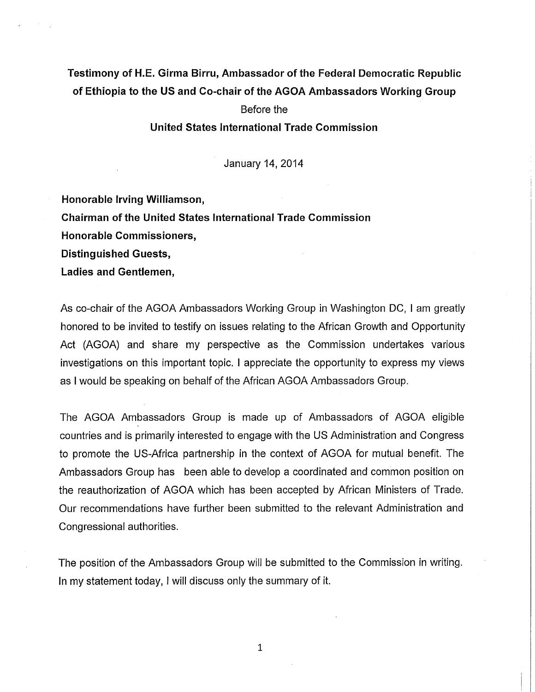# **Testimony of H.E. Girma Birru, Ambassador of the Federal Democratic Republic of Ethiopia to the US and Co-chair of the AGOA Ambassadors Working Group**

# Before the

## **United States International Trade Commission**

January 14, 2014

**Honorable Irving Williamson,** 

**Chairman of the United States International Trade Commission** 

**Honorable Commissioners,** 

**Distinguished Guests,** 

**Ladies and Gentlemen,** 

As co-chair of the AGOA Ambassadors Working Group in Washington DC, I am greatly honored to be invited to testify on issues relating to the African Growth and Opportunity Act (AGOA) and share my perspective as the Commission undertakes various investigations on this important topic. I appreciate the opportunity to express my views as I would be speaking on behalf of the African AGOA Ambassadors Group.

The AGOA Ambassadors Group is made up of Ambassadors of AGOA eligible countries and is primarily interested to engage with the US Administration and Congress to promote the US-Africa partnership in the context of AGOA for mutual benefit. The Ambassadors Group has been able to develop a coordinated and common position on the reauthorization of AGOA which has been accepted by African Ministers of Trade. Our recommendations have further been submitted to the relevant Administration and Congressional authorities.

The position of the Ambassadors Group will be submitted to the Commission in writing. In my statement today, I will discuss only the summary of it.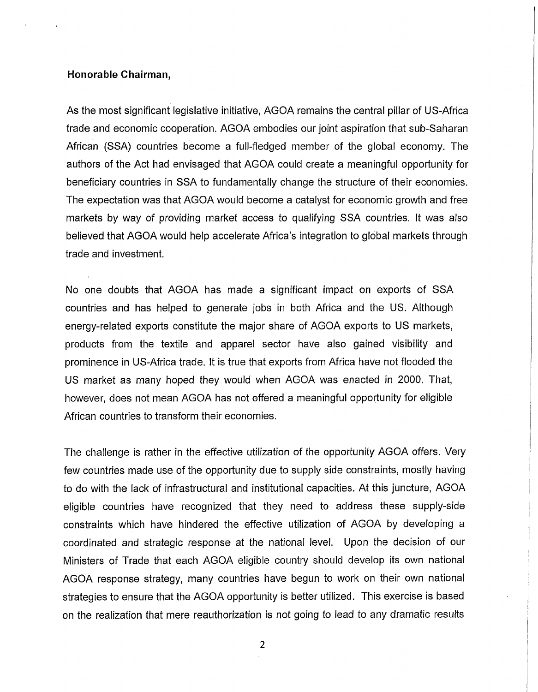#### **Honorable Chairman,**

As the most significant legislative initiative, AGOA remains the central pillar of US-Africa trade and economic cooperation. AGOA embodies our joint aspiration that sub-Saharan African (SSA) countries become a full-fledged member of the global economy. The authors of the Act had envisaged that AGOA could create a meaningful opportunity for beneficiary countries in SSA to fundamentally change the structure of their economies. The expectation was that AGOA would become a catalyst for economic growth and free markets by way of providing market access to qualifying SSA countries. It was also believed that AGOA would help accelerate Africa's integration to global markets through trade and investment.

No one doubts that AGOA has made a significant impact on exports of SSA countries and has helped to generate jobs in both Africa and the US. Although energy-related exports constitute the major share of AGOA exports to US markets, products from the textile and apparel sector have also gained visibility and prominence in US-Africa trade. It is true that exports from Africa have not flooded the US market as many hoped they would when AGOA was enacted in 2000. That, however, does not mean AGOA has not offered a meaningful opportunity for eligible African countries to transform their economies.

The challenge is rather in the effective utilization of the opportunity AGOA offers. Very few countries made use of the opportunity due to supply side constraints, mostly having to do with the lack of infrastructural and institutional capacities. At this juncture, AGOA eligible countries have recognized that they need to address these supply-side constraints which have hindered the effective utilization of AGOA by developing a coordinated and strategic response at the national level. Upon the decision of our Ministers of Trade that each AGOA eligible country should develop its own national AGOA response strategy, many countries have begun to work on their own national strategies to ensure that the AGOA opportunity is better utilized. This exercise is based on the realization that mere reauthorization is not going to lead to any dramatic results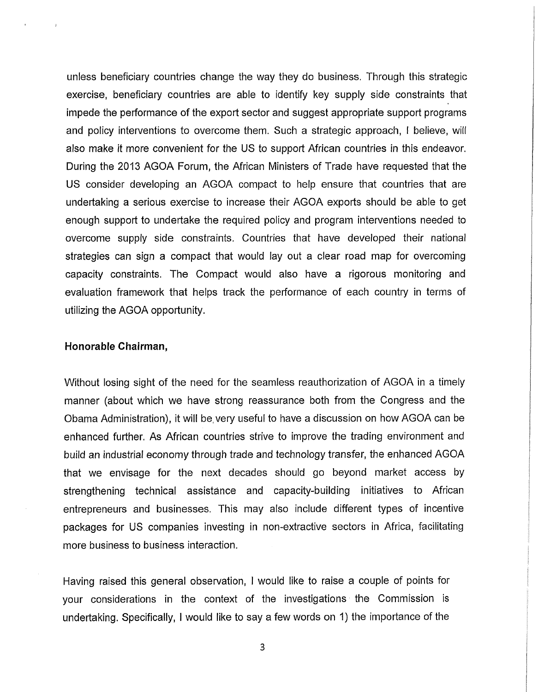unless beneficiary countries change the way they do business. Through this strategic exercise, beneficiary countries are able to identify key supply side constraints that impede the performance of the export sector and suggest appropriate support programs and policy interventions to overcome them. Such a strategic approach, I believe, will also make it more convenient for the US to support African countries in this endeavor. During the 2013 AGOA Forum, the African Ministers of Trade have requested that the US consider developing an AGOA compact to help ensure that countries that are undertaking a serious exercise to increase their AGOA exports should be able to get enough support to undertake the required policy and program interventions needed to overcome supply side constraints. Countries that have developed their national strategies can sign a compact that would lay out a clear road map for overcoming capacity constraints. The Compact would also have a rigorous monitoring and evaluation framework that helps track the performance of each country in terms of utilizing the AGOA opportunity.

## **Honorable Chairman,**

Without losing sight of the need for the seamless reauthorization of AGOA in a timely manner (about which we have strong reassurance both from the Congress and the Obama Administration), it will be, very useful to have a discussion on how AGOA can be enhanced further. As African countries strive to improve the trading environment and build an industrial economy through trade and technology transfer, the enhanced AGOA that we envisage for the next decades should go beyond market access by strengthening technical assistance and capacity-building initiatives to African entrepreneurs and businesses. This may also include different types of incentive packages for US companies investing in non-extractive sectors in Africa, facilitating more business to business interaction.

Having raised this general observation, I would like to raise a couple of points for your considerations in the context of the investigations the Commission is undertaking. Specifically, I would like to say a few words on 1) the importance of the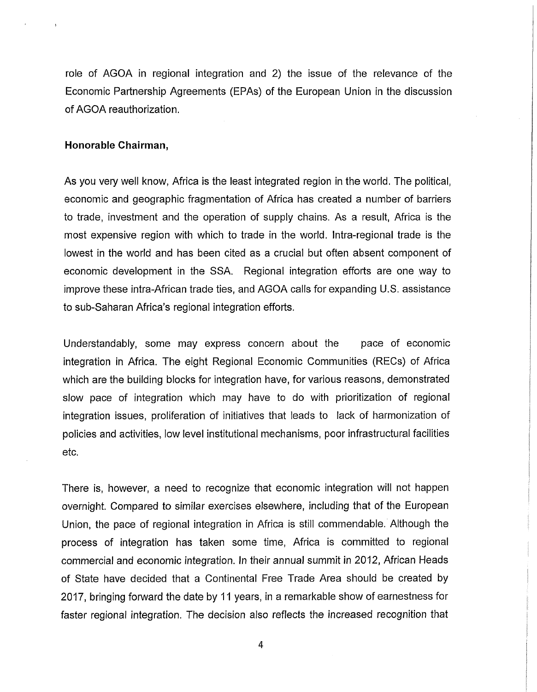role of AGOA in regional integration and 2) the issue of the relevance of the Economic Partnership Agreements (EPAs) of the European Union in the discussion of AGOA reauthorization.

#### **Honorable Chairman,**

As you very well know, Africa is the least integrated region in the world. The political, economic and geographic fragmentation of Africa has created a number of barriers to trade, investment and the operation of supply chains. As a result, Africa is the most expensive region with which to trade in the world. Intra-regional trade is the lowest in the world and has been cited as a crucial but often absent component of economic development in the SSA. Regional integration efforts are one way to improve these intra-African trade ties, and AGOA calls for expanding U.S. assistance to sub-Saharan Africa's regional integration efforts.

Understandably, some may express concern about the pace of economic integration in Africa. The eight Regional Economic Communities (RECs) of Africa which are the building blocks for integration have, for various reasons, demonstrated slow pace of integration which may have to do with prioritization of regional integration issues, proliferation of initiatives that leads to lack of harmonization of policies and activities, low level institutional mechanisms, poor infrastructural facilities etc.

There is, however, a need to recognize that economic integration will not happen overnight. Compared to similar exercises elsewhere, including that of the European Union, the pace of regional integration in Africa is still commendable. Although the process of integration has taken some time, Africa is committed to regional commercial and economic integration. In their annual summit in 2012, African Heads of State have decided that a Continental Free Trade Area should be created by 2017, bringing forward the date by 11 years, in a remarkable show of earnestness for faster regional integration. The decision also reflects the increased recognition that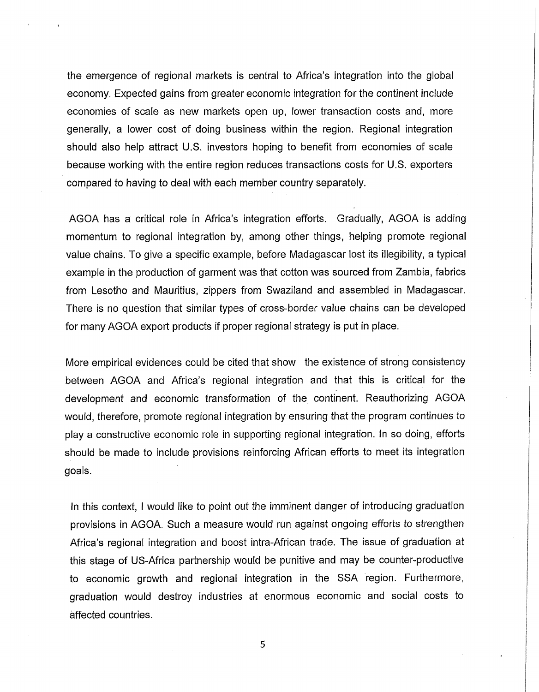the emergence of regional markets is central to Africa's integration into the global economy. Expected gains from greater economic integration for the continent include economies of scale as new markets open up, lower transaction costs and, more generally, a lower cost of doing business within the region. Regional integration should also help attract U.S. investors hoping to benefit from economies of scale because working with the entire region reduces transactions costs for U.S. exporters compared to having to deal with each member country separately.

AGOA has a critical role in Africa's integration efforts. Gradually, AGOA is adding momentum to regional integration by, among other things, helping promote regional value chains. To give a specific example, before Madagascar lost its illegibility, a typical example in the production of garment was that cotton was sourced from Zambia, fabrics from Lesotho and Mauritius, zippers from Swaziland and assembled in Madagascar. There is no question that similar types of cross-border value chains can be developed for many AGOA export products if proper regional strategy is put in place.

More empirical evidences could be cited that show the existence of strong consistency between AGOA and Africa's regional integration and that this is critical for the development and economic transformation of the continent. Reauthorizing AGOA would, therefore, promote regional integration by ensuring that the program continues to play a constructive economic role in supporting regional integration. In so doing, efforts should be made to include provisions reinforcing African efforts to meet its integration goals.

In this context, I would like to point out the imminent danger of introducing graduation provisions in AGOA. Such a measure would run against ongoing efforts to strengthen Africa's regional integration and boost intra-African trade. The issue of graduation at this stage of US-Africa partnership would be punitive and may be counter-productive to economic growth and regional integration in the SSA region. Furthermore, graduation would destroy industries at enormous economic and social costs to affected countries.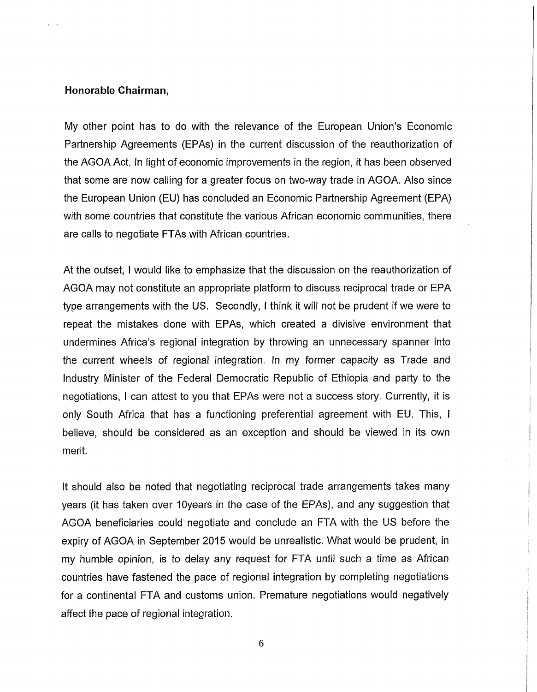#### **Honorable Chairman,**

My other point has to do with the relevance of the European Union's Economic Partnership Agreements (EPAs) in the current discussion of the reauthorization of the AGOA Act. In light of economic improvements in the region, it has been observed that some are now calling for a greater focus on two-way trade in AGOA. Also since the European Union (EU) has concluded an Economic Partnership Agreement (EPA) with some countries that constitute the various African economic communities, there are calls to negotiate FTAs with African countries.

At the outset, I would like to emphasize that the discussion on the reauthorization of AGOA may not constitute an appropriate platform to discuss reciprocal trade or EPA type arrangements with the US. Secondly, I think it will not be prudent if we were to repeat the mistakes done with EPAs, which created a divisive environment that undermines Africa's regional integration by throwing an unnecessary spanner into the current wheels of regional integration. In my former capacity as Trade and Industry Minister of the Federal Democratic Republic of Ethiopia and party to the negotiations, I can attest to you that EPAs were not a success story. Currently, it is only South Africa that has a functioning preferential agreement with EU. This, I believe, should be considered as an exception and should be viewed in its own merit.

It should also be noted that negotiating reciprocal trade arrangements takes many years (it has taken over lOyears in the case of the EPAs), and any suggestion that AGOA beneficiaries could negotiate and conclude an FTA with the US before the expiry of AGOA in September 2015 would be unrealistic. What would be prudent, in my humble opinion, is to delay any request for FTA until such a time as African countries have fastened the pace of regional integration by completing negotiations for a continental FTA and customs union. Premature negotiations would negatively affect the pace of regional integration.